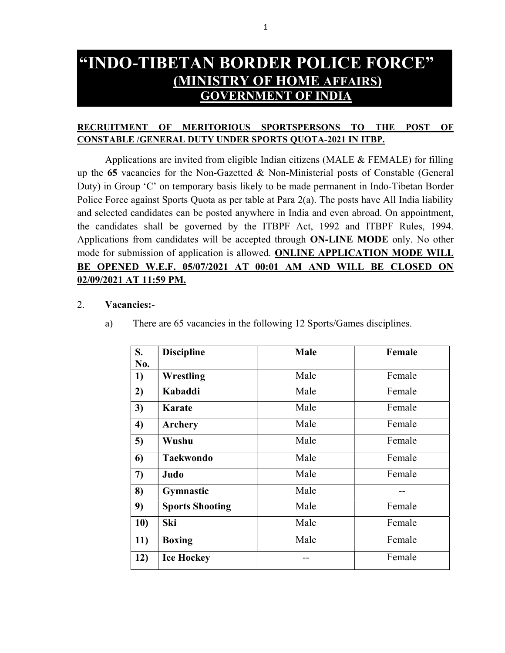# "INDO-TIBETAN BORDER POLICE FORCE" (MINISTRY OF HOME AFFAIRS) GOVERNMENT OF INDIA

# RECRUITMENT OF MERITORIOUS SPORTSPERSONS TO THE POST OF CONSTABLE /GENERAL DUTY UNDER SPORTS QUOTA-2021 IN ITBP.

Applications are invited from eligible Indian citizens (MALE & FEMALE) for filling up the 65 vacancies for the Non-Gazetted & Non-Ministerial posts of Constable (General Duty) in Group 'C' on temporary basis likely to be made permanent in Indo-Tibetan Border Police Force against Sports Quota as per table at Para 2(a). The posts have All India liability and selected candidates can be posted anywhere in India and even abroad. On appointment, the candidates shall be governed by the ITBPF Act, 1992 and ITBPF Rules, 1994. Applications from candidates will be accepted through ON-LINE MODE only. No other mode for submission of application is allowed. ONLINE APPLICATION MODE WILL BE OPENED W.E.F. 05/07/2021 AT 00:01 AM AND WILL BE CLOSED ON 02/09/2021 AT 11:59 PM.

### 2. Vacancies:-

| S.<br>No. | <b>Discipline</b>      | <b>Male</b> | Female |
|-----------|------------------------|-------------|--------|
| 1)        | Wrestling              | Male        | Female |
| 2)        | Kabaddi                | Male        | Female |
| 3)        | <b>Karate</b>          | Male        | Female |
| 4)        | Archery                | Male        | Female |
| 5)        | Wushu                  | Male        | Female |
| 6)        | <b>Taekwondo</b>       | Male        | Female |
| 7)        | Judo                   | Male        | Female |
| 8)        | Gymnastic              | Male        |        |
| 9)        | <b>Sports Shooting</b> | Male        | Female |
| 10)       | Ski                    | Male        | Female |
| 11)       | <b>Boxing</b>          | Male        | Female |
| 12)       | <b>Ice Hockey</b>      |             | Female |

a) There are 65 vacancies in the following 12 Sports/Games disciplines.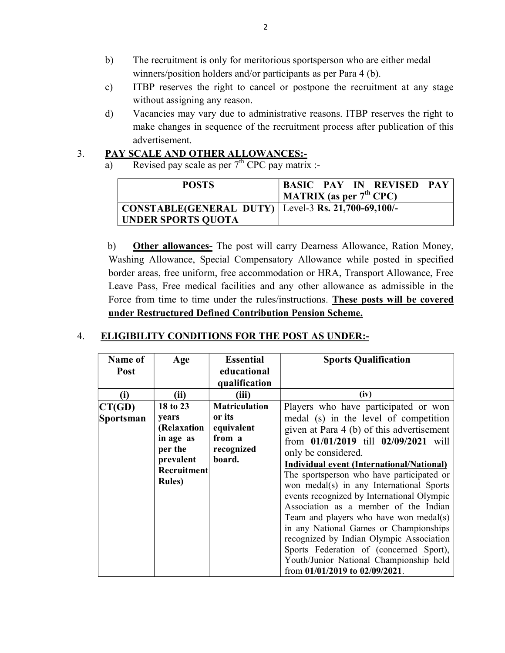- b) The recruitment is only for meritorious sportsperson who are either medal winners/position holders and/or participants as per Para 4 (b).
- c) ITBP reserves the right to cancel or postpone the recruitment at any stage without assigning any reason.
- d) Vacancies may vary due to administrative reasons. ITBP reserves the right to make changes in sequence of the recruitment process after publication of this advertisement.

# 3. PAY SCALE AND OTHER ALLOWANCES:-

a) Revised pay scale as per  $7<sup>th</sup>$  CPC pay matrix :-

| <b>POSTS</b>                                                                | <b>BASIC PAY IN REVISED PAY</b><br>MATRIX (as per $7th$ CPC) |
|-----------------------------------------------------------------------------|--------------------------------------------------------------|
| CONSTABLE(GENERAL DUTY)   Level-3 Rs. 21,700-69,100/-<br>UNDER SPORTS QUOTA |                                                              |

 b) Other allowances- The post will carry Dearness Allowance, Ration Money, Washing Allowance, Special Compensatory Allowance while posted in specified border areas, free uniform, free accommodation or HRA, Transport Allowance, Free Leave Pass, Free medical facilities and any other allowance as admissible in the Force from time to time under the rules/instructions. These posts will be covered under Restructured Defined Contribution Pension Scheme.

# 4. ELIGIBILITY CONDITIONS FOR THE POST AS UNDER:-

| Name of<br>Post            | Age                                                                                                           | <b>Essential</b><br>educational<br>qualification                               | <b>Sports Qualification</b>                                                                                                                                                                                                                                                                                                                      |
|----------------------------|---------------------------------------------------------------------------------------------------------------|--------------------------------------------------------------------------------|--------------------------------------------------------------------------------------------------------------------------------------------------------------------------------------------------------------------------------------------------------------------------------------------------------------------------------------------------|
| (i)                        | (ii)                                                                                                          | (iii)                                                                          | (iv)                                                                                                                                                                                                                                                                                                                                             |
| CT(GD)<br><b>Sportsman</b> | 18 to 23<br>years<br>(Relaxation<br>in age as<br>per the<br>prevalent<br><b>Recruitment</b><br><b>Rules</b> ) | <b>Matriculation</b><br>or its<br>equivalent<br>from a<br>recognized<br>board. | Players who have participated or won<br>medal (s) in the level of competition<br>given at Para 4 (b) of this advertisement<br>from 01/01/2019 till 02/09/2021 will<br>only be considered.<br>Individual event (International/National)<br>The sportsperson who have participated or<br>won medal(s) in any International Sports                  |
|                            |                                                                                                               |                                                                                | events recognized by International Olympic<br>Association as a member of the Indian<br>Team and players who have won medal(s)<br>in any National Games or Championships<br>recognized by Indian Olympic Association<br>Sports Federation of (concerned Sport),<br>Youth/Junior National Championship held<br>from $01/01/2019$ to $02/09/2021$ . |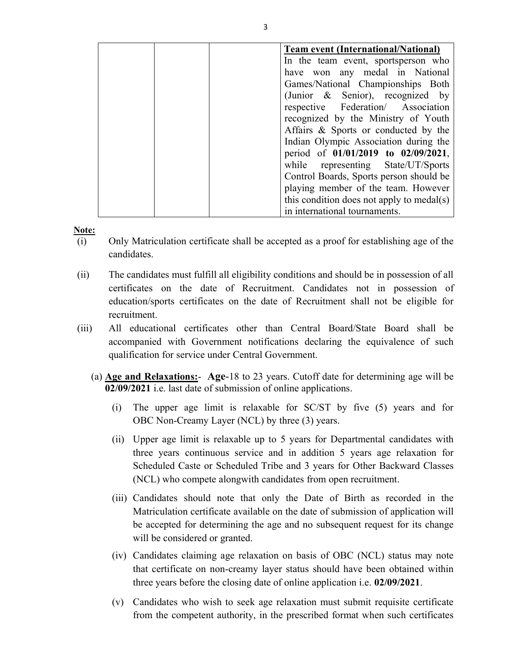| <b>Team event (International/National)</b> |
|--------------------------------------------|
| In the team event, sportsperson who        |
| have won any medal in National             |
| Games/National Championships Both          |
| (Junior & Senior), recognized by           |
| respective Federation/ Association         |
| recognized by the Ministry of Youth        |
| Affairs & Sports or conducted by the       |
| Indian Olympic Association during the      |
| period of 01/01/2019 to 02/09/2021,        |
| while representing State/UT/Sports         |
| Control Boards, Sports person should be    |
| playing member of the team. However        |
| this condition does not apply to medal(s)  |
| in international tournaments.              |

#### Note:

- (i) Only Matriculation certificate shall be accepted as a proof for establishing age of the candidates.
- (ii) The candidates must fulfill all eligibility conditions and should be in possession of all certificates on the date of Recruitment. Candidates not in possession of education/sports certificates on the date of Recruitment shall not be eligible for recruitment.
- (iii) All educational certificates other than Central Board/State Board shall be accompanied with Government notifications declaring the equivalence of such qualification for service under Central Government.
	- (a)  $\Delta$ ge and Relaxations:  $\Delta$ ge-18 to 23 years. Cutoff date for determining age will be 02/09/2021 i.e. last date of submission of online applications.
		- (i) The upper age limit is relaxable for SC/ST by five (5) years and for OBC Non-Creamy Layer (NCL) by three (3) years.
		- (ii) Upper age limit is relaxable up to 5 years for Departmental candidates with three years continuous service and in addition 5 years age relaxation for Scheduled Caste or Scheduled Tribe and 3 years for Other Backward Classes (NCL) who compete alongwith candidates from open recruitment.
		- (iii) Candidates should note that only the Date of Birth as recorded in the Matriculation certificate available on the date of submission of application will be accepted for determining the age and no subsequent request for its change will be considered or granted.
		- (iv) Candidates claiming age relaxation on basis of OBC (NCL) status may note that certificate on non-creamy layer status should have been obtained within three years before the closing date of online application i.e. 02/09/2021.
		- (v) Candidates who wish to seek age relaxation must submit requisite certificate from the competent authority, in the prescribed format when such certificates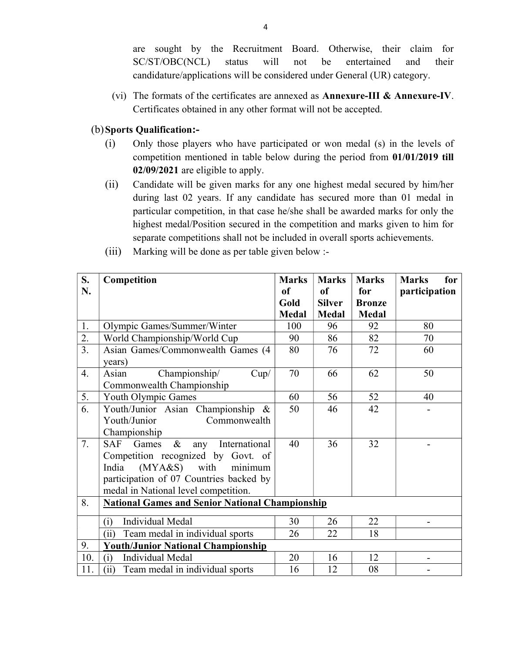are sought by the Recruitment Board. Otherwise, their claim for SC/ST/OBC(NCL) status will not be entertained and their candidature/applications will be considered under General (UR) category.

(vi) The formats of the certificates are annexed as Annexure-III & Annexure-IV. Certificates obtained in any other format will not be accepted.

## (b)Sports Qualification:-

- (i) Only those players who have participated or won medal (s) in the levels of competition mentioned in table below during the period from 01/01/2019 till 02/09/2021 are eligible to apply.
- (ii) Candidate will be given marks for any one highest medal secured by him/her during last 02 years. If any candidate has secured more than 01 medal in particular competition, in that case he/she shall be awarded marks for only the highest medal/Position secured in the competition and marks given to him for separate competitions shall not be included in overall sports achievements.
- S. N. Competition Marks of Gold Medal Marks of Silver Medal Marks for Bronze Medal Marks for participation 1. Olympic Games/Summer/Winter 100 96 92 80 2. World Championship/World Cup  $90 \mid 86 \mid 82 \mid 70$ 3. Asian Games/Commonwealth Games (4 years) 80 | 76 | 72 | 60 4. Asian Championship/ Cup/ Commonwealth Championship 70 | 66 | 62 | 50 5. Youth Olympic Games 60  $\mid$  56  $\mid$  52  $\mid$  40 6. Youth/Junior Asian Championship & Youth/Junior Commonwealth Championship  $50 \parallel 46 \parallel 42 \parallel$  -7. SAF Games & any International Competition recognized by Govt. of India (MYA&S) with minimum participation of 07 Countries backed by medal in National level competition. 40 | 36 | 32 | -8. National Games and Senior National Championship (i) Individual Medal  $\begin{array}{|c|c|c|c|c|c|c|c|c|} \hline \end{array}$  30  $\begin{array}{|c|c|c|c|c|} \hline \end{array}$  22 (ii) Team medal in individual sports  $\begin{array}{|c|c|c|c|c|c|c|c|c|} \hline \end{array}$  22 18 9. Youth/Junior National Championship 10. (i) Individual Medal 20 16 12 -11.  $\vert$  (ii) Team medal in individual sports  $\vert$  16  $\vert$  12  $\vert$  08  $\vert$  -
- (iii) Marking will be done as per table given below :-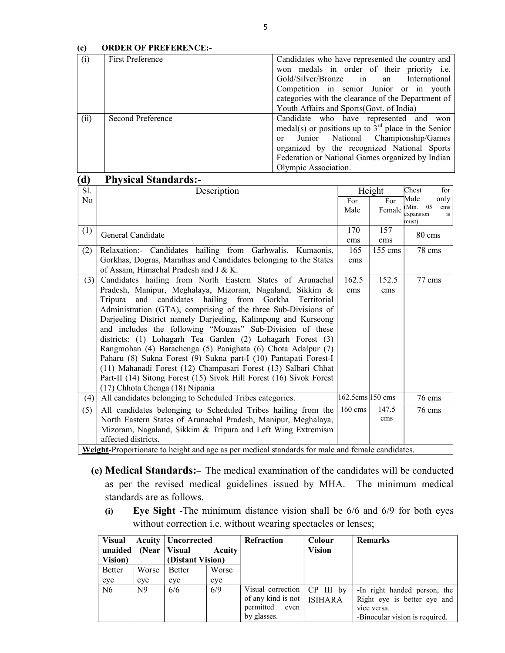#### (c) ORDER OF PREFERENCE:-

| (i)  | First Preference  | Candidates who have represented the country and       |
|------|-------------------|-------------------------------------------------------|
|      |                   | won medals in order of their priority i.e.            |
|      |                   | Gold/Silver/Bronze in<br>an<br>International          |
|      |                   | Competition in senior Junior or in youth              |
|      |                   | categories with the clearance of the Department of    |
|      |                   | Youth Affairs and Sports (Govt. of India)             |
| (ii) | Second Preference | Candidate who have represented and won                |
|      |                   | medal(s) or positions up to $3rd$ place in the Senior |
|      |                   | or Junior National Championship/Games                 |
|      |                   | organized by the recognized National Sports           |
|      |                   | Federation or National Games organized by Indian      |
|      |                   | Olympic Association.                                  |

### (d) Physical Standards:-

| Sl. | Description                                                                                     |                  | Height            | Chest<br>for                |
|-----|-------------------------------------------------------------------------------------------------|------------------|-------------------|-----------------------------|
| No  |                                                                                                 | For              | For               | Male<br>only<br>05<br>(Min. |
|     |                                                                                                 | Male             | Female            | cms<br>is<br>expansion      |
|     |                                                                                                 |                  |                   | must)                       |
| (1) | General Candidate                                                                               | 170              | 157               | 80 cms                      |
|     |                                                                                                 | cms              | cms               |                             |
| (2) | Relaxation:- Candidates hailing from Garhwalis, Kumaonis,                                       | 165              | $155 \text{ cms}$ | 78 cms                      |
|     | Gorkhas, Dogras, Marathas and Candidates belonging to the States                                | cms              |                   |                             |
|     | of Assam, Himachal Pradesh and J & K.                                                           |                  |                   |                             |
| (3) | Candidates hailing from North Eastern States of Arunachal                                       | 162.5            | 152.5             | 77 cms                      |
|     | Pradesh, Manipur, Meghalaya, Mizoram, Nagaland, Sikkim &                                        | cms              | cms               |                             |
|     | hailing from<br>Tripura<br>candidates<br>Gorkha<br>and<br>Territorial                           |                  |                   |                             |
|     | Administration (GTA), comprising of the three Sub-Divisions of                                  |                  |                   |                             |
|     | Darjeeling District namely Darjeeling, Kalimpong and Kurseong                                   |                  |                   |                             |
|     | and includes the following "Mouzas" Sub-Division of these                                       |                  |                   |                             |
|     | districts: (1) Lohagarh Tea Garden (2) Lohagarh Forest (3)                                      |                  |                   |                             |
|     | Rangmohan (4) Barachenga (5) Panighata (6) Chota Adalpur (7)                                    |                  |                   |                             |
|     | Paharu (8) Sukna Forest (9) Sukna part-I (10) Pantapati Forest-I                                |                  |                   |                             |
|     | (11) Mahanadi Forest (12) Champasari Forest (13) Salbari Chhat                                  |                  |                   |                             |
|     | Part-II (14) Sitong Forest (15) Sivok Hill Forest (16) Sivok Forest                             |                  |                   |                             |
|     | (17) Chhota Chenga (18) Nipania                                                                 |                  |                   |                             |
| (4) | All candidates belonging to Scheduled Tribes categories.                                        | 162.5cms 150 cms |                   | $76$ cms                    |
| (5) | All candidates belonging to Scheduled Tribes hailing from the                                   | $160 \text{ cm}$ | 147.5             | $76 \text{ cm}$             |
|     | North Eastern States of Arunachal Pradesh, Manipur, Meghalaya,                                  |                  | cms               |                             |
|     | Mizoram, Nagaland, Sikkim & Tripura and Left Wing Extremism                                     |                  |                   |                             |
|     | affected districts.                                                                             |                  |                   |                             |
|     | Weight-Proportionate to height and age as per medical standards for male and female candidates. |                  |                   |                             |

Weight-Proportionate to height and age as per medical standards for male and female candidates.

- (e) Medical Standards:– The medical examination of the candidates will be conducted as per the revised medical guidelines issued by MHA. The minimum medical standards are as follows.
	- (i) Eye Sight -The minimum distance vision shall be 6/6 and 6/9 for both eyes without correction i.e. without wearing spectacles or lenses;

| <b>Visual</b>          |                | <b>Acuity   Uncorrected</b> |               | <b>Refraction</b>                                                                     | Colour        | <b>Remarks</b>                                                                                               |
|------------------------|----------------|-----------------------------|---------------|---------------------------------------------------------------------------------------|---------------|--------------------------------------------------------------------------------------------------------------|
| unaided (Near   Visual |                |                             | <b>Acuity</b> |                                                                                       | <b>Vision</b> |                                                                                                              |
| Vision)                |                | (Distant Vision)            |               |                                                                                       |               |                                                                                                              |
| <b>Better</b>          | Worse          | Better                      | Worse         |                                                                                       |               |                                                                                                              |
| eye                    | eye            | eye                         | eye           |                                                                                       |               |                                                                                                              |
| N <sub>6</sub>         | N <sub>9</sub> | 6/6                         | 6/9           | Visual correction<br>of any kind is not   ISIHARA<br>permitted<br>even<br>by glasses. | $CP$ III by   | -In right handed person, the<br>Right eye is better eye and<br>vice versa.<br>-Binocular vision is required. |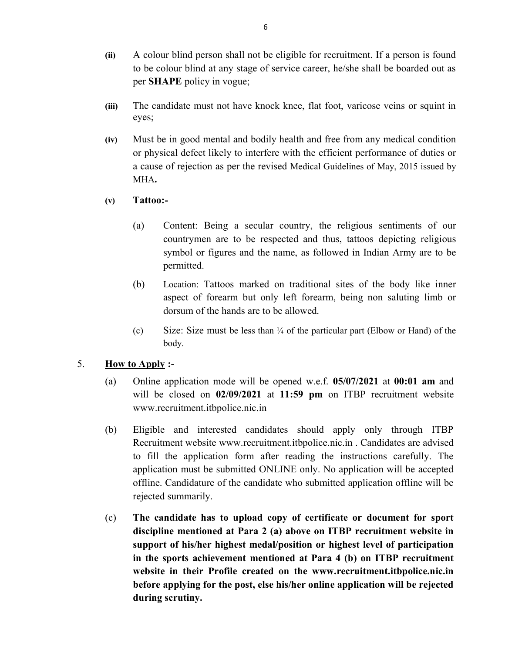- (ii) A colour blind person shall not be eligible for recruitment. If a person is found to be colour blind at any stage of service career, he/she shall be boarded out as per SHAPE policy in vogue;
- (iii) The candidate must not have knock knee, flat foot, varicose veins or squint in eyes;
- (iv) Must be in good mental and bodily health and free from any medical condition or physical defect likely to interfere with the efficient performance of duties or a cause of rejection as per the revised Medical Guidelines of May, 2015 issued by MHA.
- (v) Tattoo:-
	- (a) Content: Being a secular country, the religious sentiments of our countrymen are to be respected and thus, tattoos depicting religious symbol or figures and the name, as followed in Indian Army are to be permitted.
	- (b) Location: Tattoos marked on traditional sites of the body like inner aspect of forearm but only left forearm, being non saluting limb or dorsum of the hands are to be allowed.
	- (c) Size: Size must be less than ¼ of the particular part (Elbow or Hand) of the body.

# 5. **How to Apply :-**

- (a) Online application mode will be opened w.e.f. 05/07/2021 at 00:01 am and will be closed on 02/09/2021 at 11:59 pm on ITBP recruitment website www.recruitment.itbpolice.nic.in
- (b) Eligible and interested candidates should apply only through ITBP Recruitment website www.recruitment.itbpolice.nic.in . Candidates are advised to fill the application form after reading the instructions carefully. The application must be submitted ONLINE only. No application will be accepted offline. Candidature of the candidate who submitted application offline will be rejected summarily.
- (c) The candidate has to upload copy of certificate or document for sport discipline mentioned at Para 2 (a) above on ITBP recruitment website in support of his/her highest medal/position or highest level of participation in the sports achievement mentioned at Para 4 (b) on ITBP recruitment website in their Profile created on the www.recruitment.itbpolice.nic.in before applying for the post, else his/her online application will be rejected during scrutiny.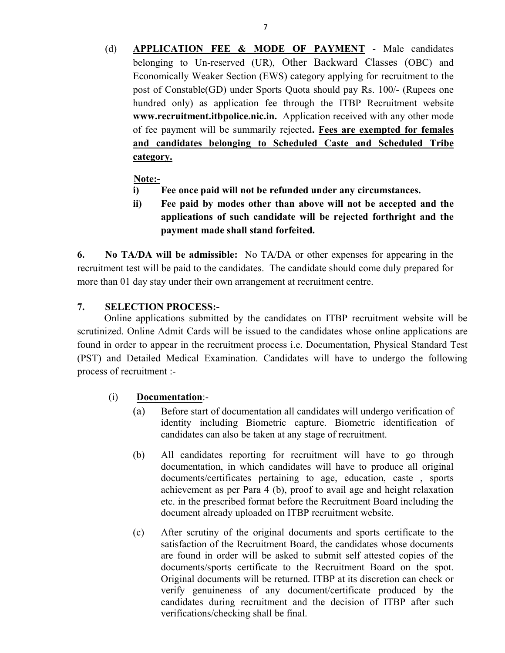(d) APPLICATION FEE & MODE OF PAYMENT - Male candidates belonging to Un-reserved (UR), Other Backward Classes (OBC) and Economically Weaker Section (EWS) category applying for recruitment to the post of Constable(GD) under Sports Quota should pay Rs. 100/- (Rupees one hundred only) as application fee through the ITBP Recruitment website www.recruitment.itbpolice.nic.in. Application received with any other mode of fee payment will be summarily rejected. Fees are exempted for females and candidates belonging to Scheduled Caste and Scheduled Tribe category.

# Note:-

- i) Fee once paid will not be refunded under any circumstances.
- ii) Fee paid by modes other than above will not be accepted and the applications of such candidate will be rejected forthright and the payment made shall stand forfeited.

6. No TA/DA will be admissible: No TA/DA or other expenses for appearing in the recruitment test will be paid to the candidates. The candidate should come duly prepared for more than 01 day stay under their own arrangement at recruitment centre.

# 7. SELECTION PROCESS:-

 Online applications submitted by the candidates on ITBP recruitment website will be scrutinized. Online Admit Cards will be issued to the candidates whose online applications are found in order to appear in the recruitment process i.e. Documentation, Physical Standard Test (PST) and Detailed Medical Examination. Candidates will have to undergo the following process of recruitment :-

# (i) Documentation:-

- (a) Before start of documentation all candidates will undergo verification of identity including Biometric capture. Biometric identification of candidates can also be taken at any stage of recruitment.
- (b) All candidates reporting for recruitment will have to go through documentation, in which candidates will have to produce all original documents/certificates pertaining to age, education, caste , sports achievement as per Para 4 (b), proof to avail age and height relaxation etc. in the prescribed format before the Recruitment Board including the document already uploaded on ITBP recruitment website.
- (c) After scrutiny of the original documents and sports certificate to the satisfaction of the Recruitment Board, the candidates whose documents are found in order will be asked to submit self attested copies of the documents/sports certificate to the Recruitment Board on the spot. Original documents will be returned. ITBP at its discretion can check or verify genuineness of any document/certificate produced by the candidates during recruitment and the decision of ITBP after such verifications/checking shall be final.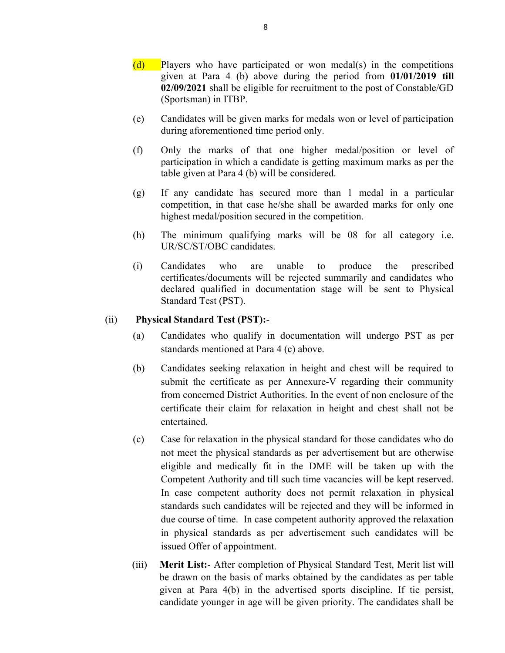- $(d)$  Players who have participated or won medal(s) in the competitions given at Para 4 (b) above during the period from 01/01/2019 till 02/09/2021 shall be eligible for recruitment to the post of Constable/GD (Sportsman) in ITBP.
- (e) Candidates will be given marks for medals won or level of participation during aforementioned time period only.
- (f) Only the marks of that one higher medal/position or level of participation in which a candidate is getting maximum marks as per the table given at Para 4 (b) will be considered.
- (g) If any candidate has secured more than 1 medal in a particular competition, in that case he/she shall be awarded marks for only one highest medal/position secured in the competition.
- (h) The minimum qualifying marks will be 08 for all category i.e. UR/SC/ST/OBC candidates.
- (i) Candidates who are unable to produce the prescribed certificates/documents will be rejected summarily and candidates who declared qualified in documentation stage will be sent to Physical Standard Test (PST).

### (ii) Physical Standard Test (PST):-

- (a) Candidates who qualify in documentation will undergo PST as per standards mentioned at Para 4 (c) above.
- (b) Candidates seeking relaxation in height and chest will be required to submit the certificate as per Annexure-V regarding their community from concerned District Authorities. In the event of non enclosure of the certificate their claim for relaxation in height and chest shall not be entertained.
- (c) Case for relaxation in the physical standard for those candidates who do not meet the physical standards as per advertisement but are otherwise eligible and medically fit in the DME will be taken up with the Competent Authority and till such time vacancies will be kept reserved. In case competent authority does not permit relaxation in physical standards such candidates will be rejected and they will be informed in due course of time. In case competent authority approved the relaxation in physical standards as per advertisement such candidates will be issued Offer of appointment.
- (iii) Merit List:- After completion of Physical Standard Test, Merit list will be drawn on the basis of marks obtained by the candidates as per table given at Para 4(b) in the advertised sports discipline. If tie persist, candidate younger in age will be given priority. The candidates shall be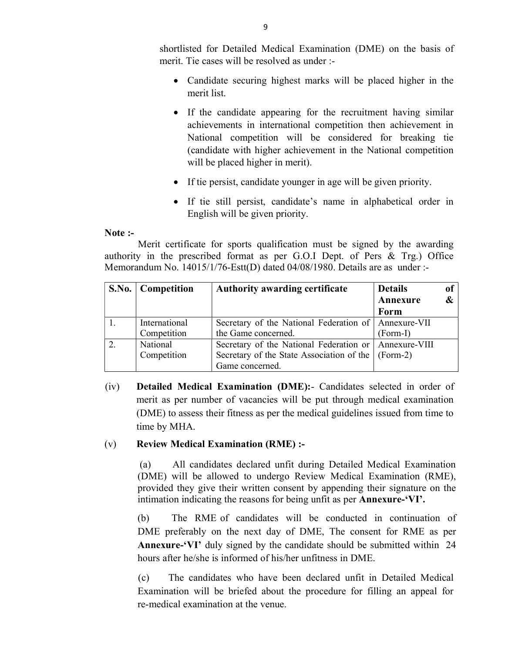shortlisted for Detailed Medical Examination (DME) on the basis of merit. Tie cases will be resolved as under :-

- Candidate securing highest marks will be placed higher in the merit list.
- If the candidate appearing for the recruitment having similar achievements in international competition then achievement in National competition will be considered for breaking tie (candidate with higher achievement in the National competition will be placed higher in merit).
- If tie persist, candidate younger in age will be given priority.
- If tie still persist, candidate's name in alphabetical order in English will be given priority.

#### Note :-

 Merit certificate for sports qualification must be signed by the awarding authority in the prescribed format as per G.O.I Dept. of Pers & Trg.) Office Memorandum No. 14015/1/76-Estt(D) dated 04/08/1980. Details are as under :-

| S.No.   Competition | <b>Authority awarding certificate</b>                      | <b>Details</b> | of                |
|---------------------|------------------------------------------------------------|----------------|-------------------|
|                     |                                                            | Annexure       | $\boldsymbol{\&}$ |
|                     |                                                            | Form           |                   |
| International       | Secretary of the National Federation of   Annexure-VII     |                |                   |
| Competition         | the Game concerned.                                        | (Form-I)       |                   |
| National            | Secretary of the National Federation or   Annexure-VIII    |                |                   |
| Competition         | Secretary of the State Association of the $\vert$ (Form-2) |                |                   |
|                     | Game concerned.                                            |                |                   |

(iv) Detailed Medical Examination (DME):- Candidates selected in order of merit as per number of vacancies will be put through medical examination (DME) to assess their fitness as per the medical guidelines issued from time to time by MHA.

### (v) Review Medical Examination (RME) :-

 (a) All candidates declared unfit during Detailed Medical Examination (DME) will be allowed to undergo Review Medical Examination (RME), provided they give their written consent by appending their signature on the intimation indicating the reasons for being unfit as per Annexure-'VI'.

(b) The RME of candidates will be conducted in continuation of DME preferably on the next day of DME, The consent for RME as per Annexure-'VI' duly signed by the candidate should be submitted within 24 hours after he/she is informed of his/her unfitness in DME.

 (c) The candidates who have been declared unfit in Detailed Medical Examination will be briefed about the procedure for filling an appeal for re-medical examination at the venue.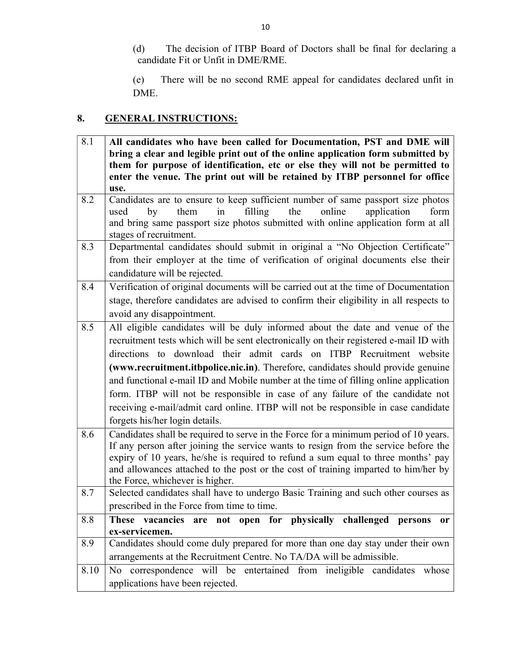(d) The decision of ITBP Board of Doctors shall be final for declaring a candidate Fit or Unfit in DME/RME.

(e) There will be no second RME appeal for candidates declared unfit in DME.

# 8. GENERAL INSTRUCTIONS:

| 8.1  | All candidates who have been called for Documentation, PST and DME will                 |  |  |  |  |
|------|-----------------------------------------------------------------------------------------|--|--|--|--|
|      | bring a clear and legible print out of the online application form submitted by         |  |  |  |  |
|      | them for purpose of identification, etc or else they will not be permitted to           |  |  |  |  |
|      | enter the venue. The print out will be retained by ITBP personnel for office            |  |  |  |  |
|      | use.                                                                                    |  |  |  |  |
| 8.2  | Candidates are to ensure to keep sufficient number of same passport size photos         |  |  |  |  |
|      | filling<br>the<br>online<br>by<br>them<br>application<br>form<br>used<br>in             |  |  |  |  |
|      | and bring same passport size photos submitted with online application form at all       |  |  |  |  |
|      | stages of recruitment.                                                                  |  |  |  |  |
| 8.3  | Departmental candidates should submit in original a "No Objection Certificate"          |  |  |  |  |
|      | from their employer at the time of verification of original documents else their        |  |  |  |  |
|      | candidature will be rejected.                                                           |  |  |  |  |
| 8.4  | Verification of original documents will be carried out at the time of Documentation     |  |  |  |  |
|      | stage, therefore candidates are advised to confirm their eligibility in all respects to |  |  |  |  |
|      | avoid any disappointment.                                                               |  |  |  |  |
| 8.5  | All eligible candidates will be duly informed about the date and venue of the           |  |  |  |  |
|      | recruitment tests which will be sent electronically on their registered e-mail ID with  |  |  |  |  |
|      | directions to download their admit cards on ITBP Recruitment website                    |  |  |  |  |
|      | (www.recruitment.itbpolice.nic.in). Therefore, candidates should provide genuine        |  |  |  |  |
|      | and functional e-mail ID and Mobile number at the time of filling online application    |  |  |  |  |
|      | form. ITBP will not be responsible in case of any failure of the candidate not          |  |  |  |  |
|      | receiving e-mail/admit card online. ITBP will not be responsible in case candidate      |  |  |  |  |
|      | forgets his/her login details.                                                          |  |  |  |  |
| 8.6  | Candidates shall be required to serve in the Force for a minimum period of 10 years.    |  |  |  |  |
|      | If any person after joining the service wants to resign from the service before the     |  |  |  |  |
|      | expiry of 10 years, he/she is required to refund a sum equal to three months' pay       |  |  |  |  |
|      | and allowances attached to the post or the cost of training imparted to him/her by      |  |  |  |  |
|      | the Force, whichever is higher.                                                         |  |  |  |  |
| 8.7  | Selected candidates shall have to undergo Basic Training and such other courses as      |  |  |  |  |
|      | prescribed in the Force from time to time.                                              |  |  |  |  |
| 8.8  | are not open for physically challenged persons<br>These vacancies<br>0r                 |  |  |  |  |
|      | ex-servicemen.                                                                          |  |  |  |  |
| 8.9  | Candidates should come duly prepared for more than one day stay under their own         |  |  |  |  |
|      | arrangements at the Recruitment Centre. No TA/DA will be admissible.                    |  |  |  |  |
| 8.10 | No correspondence will be entertained from ineligible candidates whose                  |  |  |  |  |
|      | applications have been rejected.                                                        |  |  |  |  |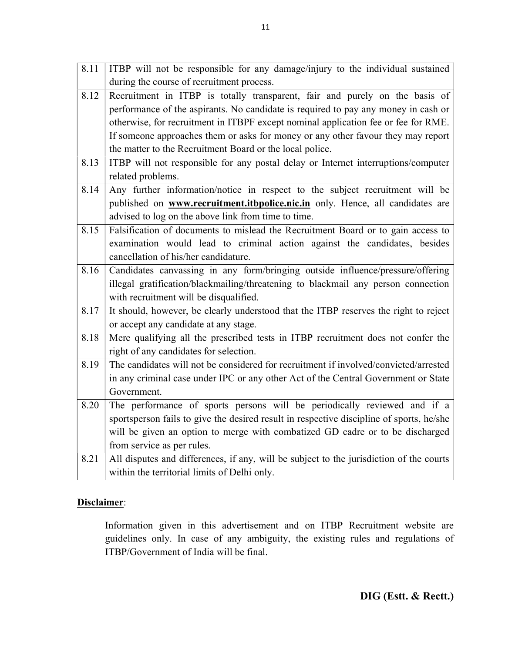| 8.11 | ITBP will not be responsible for any damage/injury to the individual sustained           |
|------|------------------------------------------------------------------------------------------|
|      | during the course of recruitment process.                                                |
| 8.12 | Recruitment in ITBP is totally transparent, fair and purely on the basis of              |
|      | performance of the aspirants. No candidate is required to pay any money in cash or       |
|      | otherwise, for recruitment in ITBPF except nominal application fee or fee for RME.       |
|      | If someone approaches them or asks for money or any other favour they may report         |
|      | the matter to the Recruitment Board or the local police.                                 |
| 8.13 | ITBP will not responsible for any postal delay or Internet interruptions/computer        |
|      | related problems.                                                                        |
| 8.14 | Any further information/notice in respect to the subject recruitment will be             |
|      | published on www.recruitment.itbpolice.nic.in only. Hence, all candidates are            |
|      | advised to log on the above link from time to time.                                      |
| 8.15 | Falsification of documents to mislead the Recruitment Board or to gain access to         |
|      | examination would lead to criminal action against the candidates, besides                |
|      | cancellation of his/her candidature.                                                     |
| 8.16 | Candidates canvassing in any form/bringing outside influence/pressure/offering           |
|      | illegal gratification/blackmailing/threatening to blackmail any person connection        |
|      | with recruitment will be disqualified.                                                   |
| 8.17 | It should, however, be clearly understood that the ITBP reserves the right to reject     |
|      | or accept any candidate at any stage.                                                    |
| 8.18 | Mere qualifying all the prescribed tests in ITBP recruitment does not confer the         |
|      | right of any candidates for selection.                                                   |
| 8.19 | The candidates will not be considered for recruitment if involved/convicted/arrested     |
|      | in any criminal case under IPC or any other Act of the Central Government or State       |
|      | Government.                                                                              |
| 8.20 | The performance of sports persons will be periodically reviewed and if a                 |
|      | sportsperson fails to give the desired result in respective discipline of sports, he/she |
|      | will be given an option to merge with combatized GD cadre or to be discharged            |
|      | from service as per rules.                                                               |
| 8.21 | All disputes and differences, if any, will be subject to the jurisdiction of the courts  |
|      | within the territorial limits of Delhi only.                                             |

# Disclaimer:

Information given in this advertisement and on ITBP Recruitment website are guidelines only. In case of any ambiguity, the existing rules and regulations of ITBP/Government of India will be final.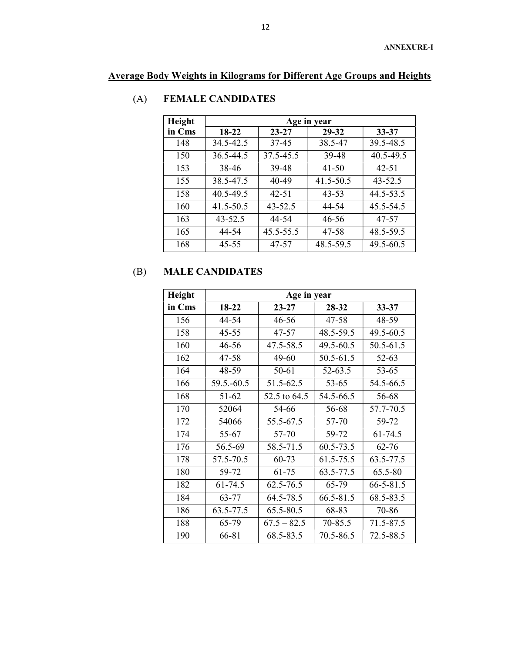# Average Body Weights in Kilograms for Different Age Groups and Heights

| Height | Age in year |             |           |             |  |
|--------|-------------|-------------|-----------|-------------|--|
| in Cms | 18-22       | $23 - 27$   | 29-32     | $33 - 37$   |  |
| 148    | 34.5-42.5   | 37-45       | 38.5-47   | 39.5-48.5   |  |
| 150    | 36.5-44.5   | 37.5-45.5   | 39-48     | 40.5-49.5   |  |
| 153    | 38-46       | 39-48       | 41-50     | $42 - 51$   |  |
| 155    | 38.5-47.5   | 40-49       | 41.5-50.5 | $43 - 52.5$ |  |
| 158    | 40.5-49.5   | 42-51       | $43 - 53$ | 44.5-53.5   |  |
| 160    | 41.5-50.5   | $43 - 52.5$ | 44-54     | 45.5-54.5   |  |
| 163    | $43 - 52.5$ | 44-54       | 46-56     | 47-57       |  |
| 165    | 44-54       | 45.5-55.5   | 47-58     | 48.5-59.5   |  |
| 168    | $45 - 55$   | 47-57       | 48.5-59.5 | 49.5-60.5   |  |

# (A) FEMALE CANDIDATES

# (B) MALE CANDIDATES

| Height | Age in year |               |           |                 |  |  |
|--------|-------------|---------------|-----------|-----------------|--|--|
| in Cms | 18-22       | $23 - 27$     | 28-32     | $33 - 37$       |  |  |
| 156    | 44-54       | 46-56         | 47-58     | 48-59           |  |  |
| 158    | $45 - 55$   | 47-57         | 48.5-59.5 | 49.5-60.5       |  |  |
| 160    | 46-56       | 47.5-58.5     | 49.5-60.5 | 50.5-61.5       |  |  |
| 162    | 47-58       | 49-60         | 50.5-61.5 | 52-63           |  |  |
| 164    | 48-59       | 50-61         | 52-63.5   | 53-65           |  |  |
| 166    | 59.5.-60.5  | 51.5-62.5     | 53-65     | 54.5-66.5       |  |  |
| 168    | 51-62       | 52.5 to 64.5  | 54.5-66.5 | 56-68           |  |  |
| 170    | 52064       | 54-66         | 56-68     | 57.7-70.5       |  |  |
| 172    | 54066       | 55.5-67.5     | 57-70     | 59-72           |  |  |
| 174    | 55-67       | 57-70         | 59-72     | 61-74.5         |  |  |
| 176    | 56.5-69     | 58.5-71.5     | 60.5-73.5 | $62 - 76$       |  |  |
| 178    | 57.5-70.5   | 60-73         | 61.5-75.5 | 63.5-77.5       |  |  |
| 180    | 59-72       | 61-75         | 63.5-77.5 | 65.5-80         |  |  |
| 182    | 61-74.5     | $62.5 - 76.5$ | 65-79     | $66 - 5 - 81.5$ |  |  |
| 184    | 63-77       | 64.5-78.5     | 66.5-81.5 | 68.5-83.5       |  |  |
| 186    | 63.5-77.5   | 65.5-80.5     | 68-83     | 70-86           |  |  |
| 188    | 65-79       | $67.5 - 82.5$ | 70-85.5   | 71.5-87.5       |  |  |
| 190    | 66-81       | 68.5-83.5     | 70.5-86.5 | 72.5-88.5       |  |  |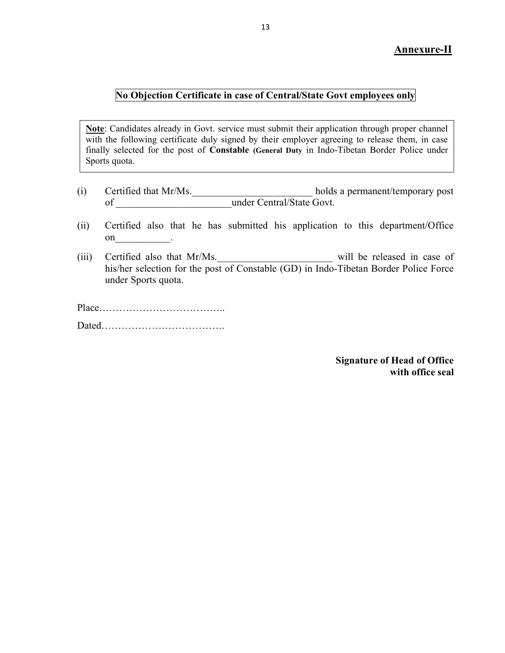## Annexure-II

## No Objection Certificate in case of Central/State Govt employees only

Note: Candidates already in Govt. service must submit their application through proper channel with the following certificate duly signed by their employer agreeing to release them, in case finally selected for the post of Constable (General Duty in Indo-Tibetan Border Police under Sports quota.

- (i) Certified that Mr/Ms. holds a permanent/temporary post of under Central/State Govt.
- (ii) Certified also that he has submitted his application to this department/Office on \_\_\_\_\_\_\_\_\_\_.
- (iii) Certified also that Mr/Ms. \_\_\_\_\_\_\_\_\_\_\_\_\_\_\_\_\_\_\_\_\_\_\_\_\_\_ will be released in case of his/her selection for the post of Constable (GD) in Indo-Tibetan Border Police Force under Sports quota.

Place……………………………….. Dated……………………………….

> Signature of Head of Office with office seal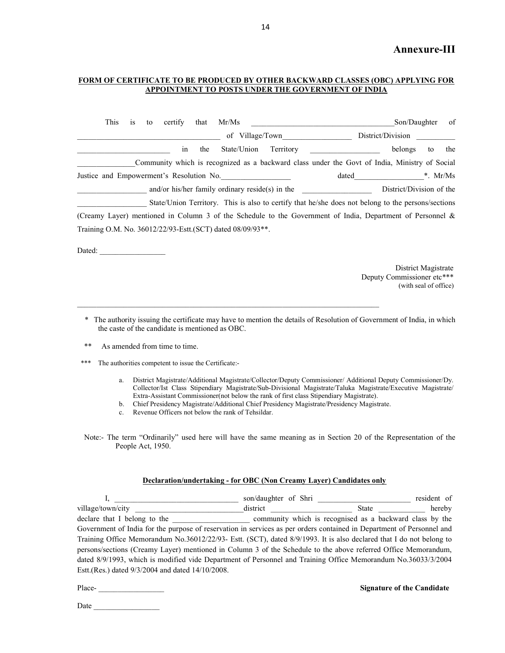#### Annexure-III

#### FORM OF CERTIFICATE TO BE PRODUCED BY OTHER BACKWARD CLASSES (OBC) APPLYING FOR APPOINTMENT TO POSTS UNDER THE GOVERNMENT OF INDIA

| This | 1S | to | certify                                  | that | Mr/Ms                                                       |           |                                                                                                            | Son/Daughter             |            | of  |
|------|----|----|------------------------------------------|------|-------------------------------------------------------------|-----------|------------------------------------------------------------------------------------------------------------|--------------------------|------------|-----|
|      |    |    |                                          |      | of Village/Town                                             |           |                                                                                                            | District/Division        |            |     |
|      |    |    | 1n                                       | the  | State/Union                                                 | Territory |                                                                                                            | belongs                  | to         | the |
|      |    |    |                                          |      |                                                             |           | Community which is recognized as a backward class under the Govt of India, Ministry of Social              |                          |            |     |
|      |    |    | Justice and Empowerment's Resolution No. |      |                                                             |           | dated                                                                                                      |                          | *. $Mr/Ms$ |     |
|      |    |    |                                          |      | and/or his/her family ordinary reside(s) in the             |           |                                                                                                            | District/Division of the |            |     |
|      |    |    |                                          |      |                                                             |           | State/Union Territory. This is also to certify that he/she does not belong to the persons/sections         |                          |            |     |
|      |    |    |                                          |      |                                                             |           | (Creamy Layer) mentioned in Column 3 of the Schedule to the Government of India, Department of Personnel & |                          |            |     |
|      |    |    |                                          |      | Training O.M. No. 36012/22/93-Estt. (SCT) dated 08/09/93**. |           |                                                                                                            |                          |            |     |
|      |    |    |                                          |      |                                                             |           |                                                                                                            |                          |            |     |

Dated:

 District Magistrate Deputy Commissioner etc\*\*\* (with seal of office)

- \* The authority issuing the certificate may have to mention the details of Resolution of Government of India, in which the caste of the candidate is mentioned as OBC.
- \*\* As amended from time to time.
- \*\*\* The authorities competent to issue the Certificate:
	- a. District Magistrate/Additional Magistrate/Collector/Deputy Commissioner/ Additional Deputy Commissioner/Dy. Collector/Ist Class Stipendiary Magistrate/Sub-Divisional Magistrate/Taluka Magistrate/Executive Magistrate/ Extra-Assistant Commissioner(not below the rank of first class Stipendiary Magistrate).
	- b. Chief Presidency Magistrate/Additional Chief Presidency Magistrate/Presidency Magistrate.

 $\mathcal{L}_\text{max}$ 

c. Revenue Officers not below the rank of Tehsildar.

Note:- The term "Ordinarily" used here will have the same meaning as in Section 20 of the Representation of the People Act, 1950.

#### Declaration/undertaking - for OBC (Non Creamy Layer) Candidates only

|                                                                                                                       | son/daughter of Shri |                                                          | resident of |
|-----------------------------------------------------------------------------------------------------------------------|----------------------|----------------------------------------------------------|-------------|
| village/town/city                                                                                                     | district             | State                                                    | hereby      |
| declare that I belong to the                                                                                          |                      | community which is recognised as a backward class by the |             |
| Government of India for the purpose of reservation in services as per orders contained in Department of Personnel and |                      |                                                          |             |
| Training Office Memorandum No.36012/22/93- Estt. (SCT), dated 8/9/1993. It is also declared that I do not belong to   |                      |                                                          |             |
| persons/sections (Creamy Layer) mentioned in Column 3 of the Schedule to the above referred Office Memorandum,        |                      |                                                          |             |
| dated 8/9/1993, which is modified vide Department of Personnel and Training Office Memorandum No.36033/3/2004         |                      |                                                          |             |
| Estt.(Res.) dated 9/3/2004 and dated 14/10/2008.                                                                      |                      |                                                          |             |

Place-<br> **Place-** Signature of the Candidate

| Date |
|------|
|------|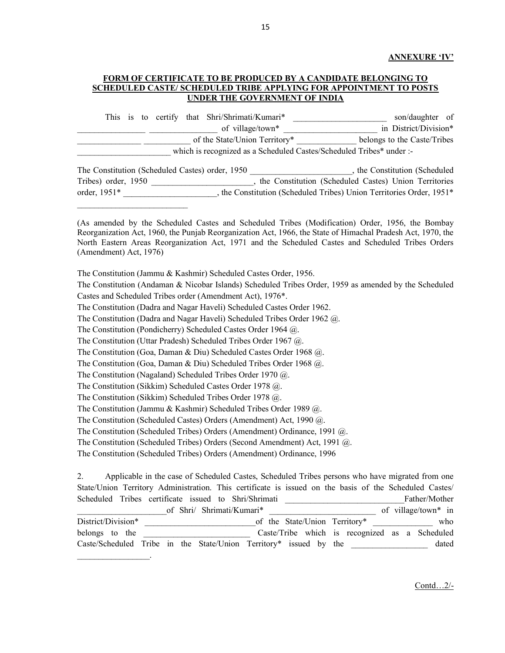#### ANNEXURE 'IV'

#### FORM OF CERTIFICATE TO BE PRODUCED BY A CANDIDATE BELONGING TO SCHEDULED CASTE/ SCHEDULED TRIBE APPLYING FOR APPOINTMENT TO POSTS UNDER THE GOVERNMENT OF INDIA

This is to certify that Shri/Shrimati/Kumari\* \_\_\_\_\_\_\_\_\_\_\_\_\_\_\_\_\_\_\_\_\_\_\_\_\_\_\_ son/daughter of of village/town\* The same of village/town\* The same of village/town\* and  $\frac{1}{2}$  in District/Division\* of the State/Union Territory\* belongs to the Caste/Tribes which is recognized as a Scheduled Castes/Scheduled Tribes\* under :-

The Constitution (Scheduled Castes) order, 1950 . The Constitution (Scheduled Castes) order, 1950 Tribes) order, 1950 \_\_\_\_\_\_\_\_\_\_\_\_\_\_\_\_\_\_\_\_\_\_, the Constitution (Scheduled Castes) Union Territories order, 1951\* The Constitution (Scheduled Tribes) Union Territories Order, 1951\*

(As amended by the Scheduled Castes and Scheduled Tribes (Modification) Order, 1956, the Bombay Reorganization Act, 1960, the Punjab Reorganization Act, 1966, the State of Himachal Pradesh Act, 1970, the North Eastern Areas Reorganization Act, 1971 and the Scheduled Castes and Scheduled Tribes Orders (Amendment) Act, 1976)

The Constitution (Jammu & Kashmir) Scheduled Castes Order, 1956.

 $\mathcal{L}_\text{max}$  and  $\mathcal{L}_\text{max}$  and  $\mathcal{L}_\text{max}$  and  $\mathcal{L}_\text{max}$ 

 $\mathcal{L}_\text{max}$  and  $\mathcal{L}_\text{max}$  and  $\mathcal{L}_\text{max}$ 

The Constitution (Andaman & Nicobar Islands) Scheduled Tribes Order, 1959 as amended by the Scheduled Castes and Scheduled Tribes order (Amendment Act), 1976\*.

The Constitution (Dadra and Nagar Haveli) Scheduled Castes Order 1962.

The Constitution (Dadra and Nagar Haveli) Scheduled Tribes Order 1962 @.

The Constitution (Pondicherry) Scheduled Castes Order 1964 @.

The Constitution (Uttar Pradesh) Scheduled Tribes Order 1967 @.

The Constitution (Goa, Daman & Diu) Scheduled Castes Order 1968 @.

The Constitution (Goa, Daman & Diu) Scheduled Tribes Order 1968 @.

The Constitution (Nagaland) Scheduled Tribes Order 1970 @.

The Constitution (Sikkim) Scheduled Castes Order 1978 @.

The Constitution (Sikkim) Scheduled Tribes Order 1978 @.

The Constitution (Jammu & Kashmir) Scheduled Tribes Order 1989 @.

The Constitution (Scheduled Castes) Orders (Amendment) Act, 1990 @.

The Constitution (Scheduled Tribes) Orders (Amendment) Ordinance, 1991 @.

The Constitution (Scheduled Tribes) Orders (Second Amendment) Act, 1991 @.

The Constitution (Scheduled Tribes) Orders (Amendment) Ordinance, 1996

2. Applicable in the case of Scheduled Castes, Scheduled Tribes persons who have migrated from one State/Union Territory Administration. This certificate is issued on the basis of the Scheduled Castes/ Scheduled Tribes certificate issued to Shri/Shrimati **Example 2016** Father/Mother of Shri/ Shrimati/Kumari\* \_\_\_\_\_\_\_\_\_\_\_\_\_\_\_\_\_\_\_\_\_\_\_\_\_\_\_\_\_\_\_ of village/town\* in District/Division\* \_\_\_\_\_\_\_\_\_\_\_\_\_\_\_\_\_\_\_\_\_\_\_\_\_\_of the State/Union Territory\* \_\_\_\_\_\_\_\_\_\_\_\_\_\_ who belongs to the the caste/Tribe which is recognized as a Scheduled Caste/Scheduled Tribe in the State/Union Territory\* issued by the \_\_\_\_\_\_\_\_\_\_\_\_\_\_\_\_\_\_ dated

Contd…2/-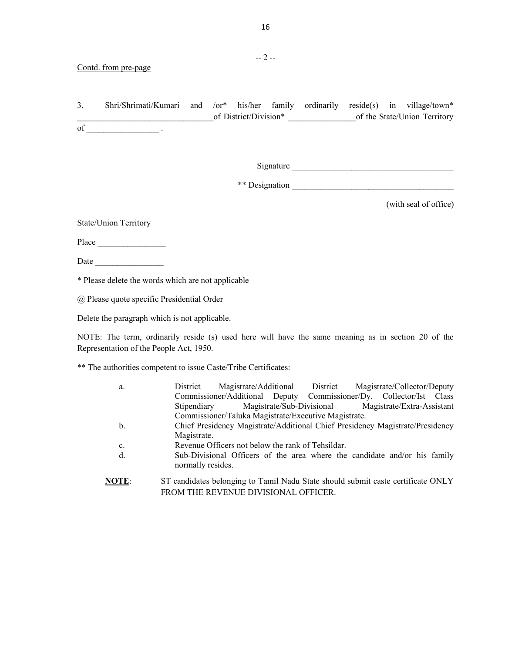3. Shri/Shrimati/Kumari and /or\* his/her family ordinarily reside(s) in village/town\* of District/Division\* of the State/Union Territory of  $\qquad \qquad .$ 

Signature \_\_\_\_\_\_\_\_\_\_\_\_\_\_\_\_\_\_\_\_\_\_\_\_\_\_\_\_\_\_\_\_\_\_\_\_\_\_

\*\* Designation \_\_\_\_\_\_\_\_\_\_\_\_\_\_\_\_\_\_\_\_\_\_\_\_\_\_\_\_\_\_\_\_\_\_\_\_\_\_

(with seal of office)

State/Union Territory

Place \_\_\_\_\_\_\_\_\_\_\_\_\_\_\_\_

Date \_\_\_\_\_\_\_\_\_\_\_\_\_\_\_\_

\* Please delete the words which are not applicable

@ Please quote specific Presidential Order

Delete the paragraph which is not applicable.

NOTE: The term, ordinarily reside (s) used here will have the same meaning as in section 20 of the Representation of the People Act, 1950.

\*\* The authorities competent to issue Caste/Tribe Certificates:

| a.           | Magistrate/Additional District Magistrate/Collector/Deputy<br>District           |
|--------------|----------------------------------------------------------------------------------|
|              | Commissioner/Additional Deputy Commissioner/Dy. Collector/Ist Class              |
|              | Magistrate/Sub-Divisional Magistrate/Extra-Assistant<br>Stipendiary              |
|              | Commissioner/Taluka Magistrate/Executive Magistrate.                             |
| b.           | Chief Presidency Magistrate/Additional Chief Presidency Magistrate/Presidency    |
|              | Magistrate.                                                                      |
| c.           | Revenue Officers not below the rank of Tehsildar.                                |
| d.           | Sub-Divisional Officers of the area where the candidate and/or his family        |
|              | normally resides.                                                                |
| <b>NOTE:</b> | ST candidates belonging to Tamil Nadu State should submit caste certificate ONLY |
|              |                                                                                  |
|              | FROM THE REVENUE DIVISIONAL OFFICER.                                             |

-- 2 --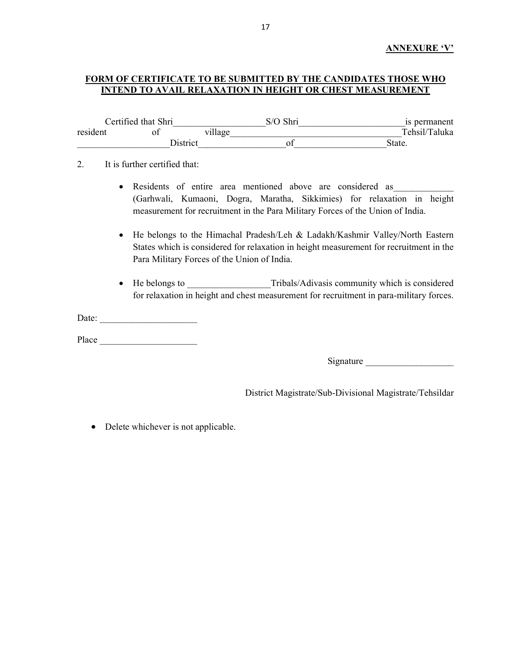#### ANNEXURE 'V'

#### FORM OF CERTIFICATE TO BE SUBMITTED BY THE CANDIDATES THOSE WHO INTEND TO AVAIL RELAXATION IN HEIGHT OR CHEST MEASUREMENT

|          | Certified that Shri |             | S/O Shri | is permanent  |
|----------|---------------------|-------------|----------|---------------|
| resident |                     | $v_1$ llage |          | Tehsil/Taluka |
|          | District            |             |          | State.        |

#### 2. It is further certified that:

- Residents of entire area mentioned above are considered as (Garhwali, Kumaoni, Dogra, Maratha, Sikkimies) for relaxation in height measurement for recruitment in the Para Military Forces of the Union of India.
- He belongs to the Himachal Pradesh/Leh & Ladakh/Kashmir Valley/North Eastern States which is considered for relaxation in height measurement for recruitment in the Para Military Forces of the Union of India.
- He belongs to **Tribals/Adivasis community which is considered** for relaxation in height and chest measurement for recruitment in para-military forces.

Date:

Place \_\_\_\_\_\_\_\_\_\_\_\_\_\_\_\_\_\_\_\_\_

Signature **Executive Signature** 

District Magistrate/Sub-Divisional Magistrate/Tehsildar

• Delete whichever is not applicable.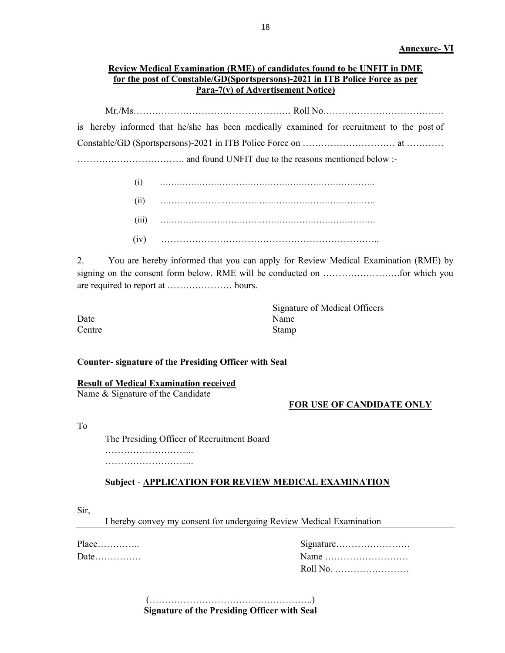# Review Medical Examination (RME) of candidates found to be UNFIT in DME for the post of Constable/GD(Sportspersons)-2021 in ITB Police Force as per Para-7(v) of Advertisement Notice)

 Mr./Ms…………………………………………… Roll No………………………………… is hereby informed that he/she has been medically examined for recruitment to the post of Constable/GD (Sportspersons)-2021 in ITB Police Force on ………………………… at ………… ………….…………………. and found UNFIT due to the reasons mentioned below :-

> (i) …………………………………………………………………. (ii) …………………………………………………………………. (iii) …………………………………………………………………. (iv) ……………………………………………………………..

2. You are hereby informed that you can apply for Review Medical Examination (RME) by signing on the consent form below. RME will be conducted on …………………….for which you are required to report at ………………… hours.

|        | Signature of Medical Officers |
|--------|-------------------------------|
| Date   | Name                          |
| Centre | Stamp                         |

#### Counter- signature of the Presiding Officer with Seal

Result of Medical Examination received

Name & Signature of the Candidate

### FOR USE OF CANDIDATE ONLY

To

 The Presiding Officer of Recruitment Board ……………………………

…………………………………

### Subject - APPLICATION FOR REVIEW MEDICAL EXAMINATION

Sir,

I hereby convey my consent for undergoing Review Medical Examination

| $Place$ |                                                      |
|---------|------------------------------------------------------|
| Date    | Name $\dots\dots\dots\dots\dots\dots\dots\dots\dots$ |
|         | Roll No.                                             |

 (……………………………………………..) Signature of the Presiding Officer with Seal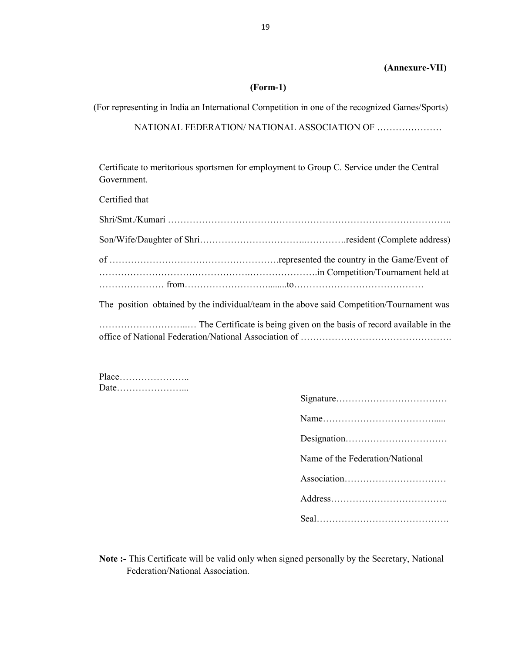#### (Annexure-VII)

#### (Form-1)

(For representing in India an International Competition in one of the recognized Games/Sports)

NATIONAL FEDERATION/ NATIONAL ASSOCIATION OF …………………

Certificate to meritorious sportsmen for employment to Group C. Service under the Central Government.

Certified that Shri/Smt./Kumari ……………………………………………………………………………….. Son/Wife/Daughter of Shri……………………………..………….resident (Complete address) of ……………………………………………….represented the country in the Game/Event of ………………………………………….………………….in Competition/Tournament held at ………………… from………………………........to…………………………………… The position obtained by the individual/team in the above said Competition/Tournament was

………………………..… The Certificate is being given on the basis of record available in the office of National Federation/National Association of ………………………………………….

Place………………….. Date…………………...

| Name of the Federation/National |
|---------------------------------|
|                                 |
|                                 |
|                                 |
|                                 |

Note :- This Certificate will be valid only when signed personally by the Secretary, National Federation/National Association.